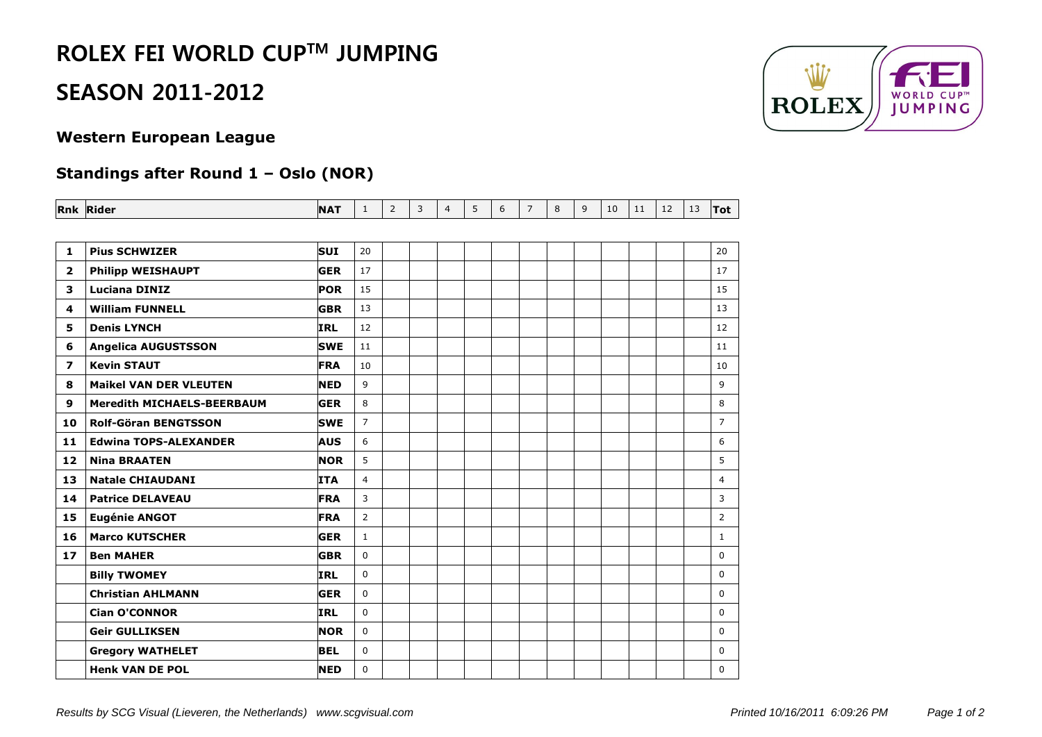## **ROLEX FEI WORLD CUPTM JUMPING**

### **SEASON 2011-2012**

#### **Western European League**

### **Standings after Round 1 – Oslo (NOR)**